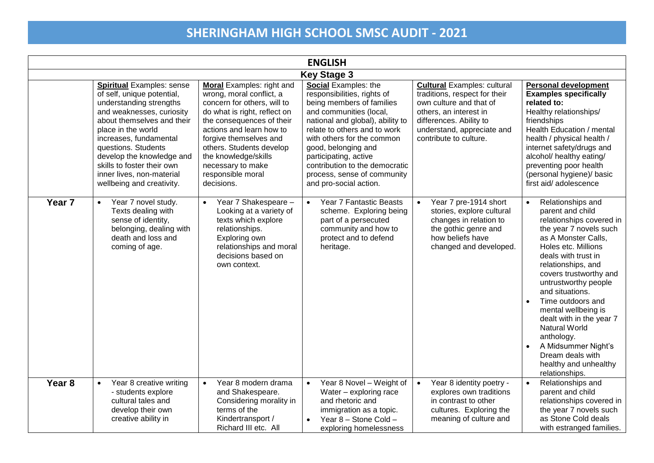| <b>ENGLISH</b>     |                                                                                                                                                                                                                                                                                                                                                  |                                                                                                                                                                                                                                                                                                                     |                                                                                                                                                                                                                                                                                                                                                          |                                                                                                                                                                                                             |                                                                                                                                                                                                                                                                                                                                                                                                                                                                                                 |  |
|--------------------|--------------------------------------------------------------------------------------------------------------------------------------------------------------------------------------------------------------------------------------------------------------------------------------------------------------------------------------------------|---------------------------------------------------------------------------------------------------------------------------------------------------------------------------------------------------------------------------------------------------------------------------------------------------------------------|----------------------------------------------------------------------------------------------------------------------------------------------------------------------------------------------------------------------------------------------------------------------------------------------------------------------------------------------------------|-------------------------------------------------------------------------------------------------------------------------------------------------------------------------------------------------------------|-------------------------------------------------------------------------------------------------------------------------------------------------------------------------------------------------------------------------------------------------------------------------------------------------------------------------------------------------------------------------------------------------------------------------------------------------------------------------------------------------|--|
| <b>Key Stage 3</b> |                                                                                                                                                                                                                                                                                                                                                  |                                                                                                                                                                                                                                                                                                                     |                                                                                                                                                                                                                                                                                                                                                          |                                                                                                                                                                                                             |                                                                                                                                                                                                                                                                                                                                                                                                                                                                                                 |  |
|                    | <b>Spiritual Examples: sense</b><br>of self, unique potential,<br>understanding strengths<br>and weaknesses, curiosity<br>about themselves and their<br>place in the world<br>increases, fundamental<br>questions. Students<br>develop the knowledge and<br>skills to foster their own<br>inner lives, non-material<br>wellbeing and creativity. | Moral Examples: right and<br>wrong, moral conflict, a<br>concern for others, will to<br>do what is right, reflect on<br>the consequences of their<br>actions and learn how to<br>forgive themselves and<br>others. Students develop<br>the knowledge/skills<br>necessary to make<br>responsible moral<br>decisions. | Social Examples: the<br>responsibilities, rights of<br>being members of families<br>and communities (local,<br>national and global), ability to<br>relate to others and to work<br>with others for the common<br>good, belonging and<br>participating, active<br>contribution to the democratic<br>process, sense of community<br>and pro-social action. | <b>Cultural Examples: cultural</b><br>traditions, respect for their<br>own culture and that of<br>others, an interest in<br>differences. Ability to<br>understand, appreciate and<br>contribute to culture. | <b>Personal development</b><br><b>Examples specifically</b><br>related to:<br>Healthy relationships/<br>friendships<br>Health Education / mental<br>health / physical health /<br>internet safety/drugs and<br>alcohol/ healthy eating/<br>preventing poor health<br>(personal hygiene)/ basic<br>first aid/ adolescence                                                                                                                                                                        |  |
| Year <sub>7</sub>  | Year 7 novel study.<br>$\bullet$<br>Texts dealing with<br>sense of identity,<br>belonging, dealing with<br>death and loss and<br>coming of age.                                                                                                                                                                                                  | Year 7 Shakespeare -<br>$\bullet$<br>Looking at a variety of<br>texts which explore<br>relationships.<br>Exploring own<br>relationships and moral<br>decisions based on<br>own context.                                                                                                                             | Year 7 Fantastic Beasts<br>$\bullet$<br>scheme. Exploring being<br>part of a persecuted<br>community and how to<br>protect and to defend<br>heritage.                                                                                                                                                                                                    | Year 7 pre-1914 short<br>stories, explore cultural<br>changes in relation to<br>the gothic genre and<br>how beliefs have<br>changed and developed.                                                          | Relationships and<br>$\bullet$<br>parent and child<br>relationships covered in<br>the year 7 novels such<br>as A Monster Calls,<br>Holes etc. Millions<br>deals with trust in<br>relationships, and<br>covers trustworthy and<br>untrustworthy people<br>and situations.<br>Time outdoors and<br>$\bullet$<br>mental wellbeing is<br>dealt with in the year 7<br>Natural World<br>anthology.<br>A Midsummer Night's<br>$\bullet$<br>Dream deals with<br>healthy and unhealthy<br>relationships. |  |
| Year <sub>8</sub>  | Year 8 creative writing<br>$\bullet$<br>- students explore<br>cultural tales and<br>develop their own<br>creative ability in                                                                                                                                                                                                                     | Year 8 modern drama<br>$\bullet$<br>and Shakespeare.<br>Considering morality in<br>terms of the<br>Kindertransport /<br>Richard III etc. All                                                                                                                                                                        | Year 8 Novel - Weight of<br>Water - exploring race<br>and rhetoric and<br>immigration as a topic.<br>Year 8 - Stone Cold -<br>exploring homelessness                                                                                                                                                                                                     | Year 8 identity poetry -<br>$\bullet$<br>explores own traditions<br>in contrast to other<br>cultures. Exploring the<br>meaning of culture and                                                               | Relationships and<br>$\bullet$<br>parent and child<br>relationships covered in<br>the year 7 novels such<br>as Stone Cold deals<br>with estranged families.                                                                                                                                                                                                                                                                                                                                     |  |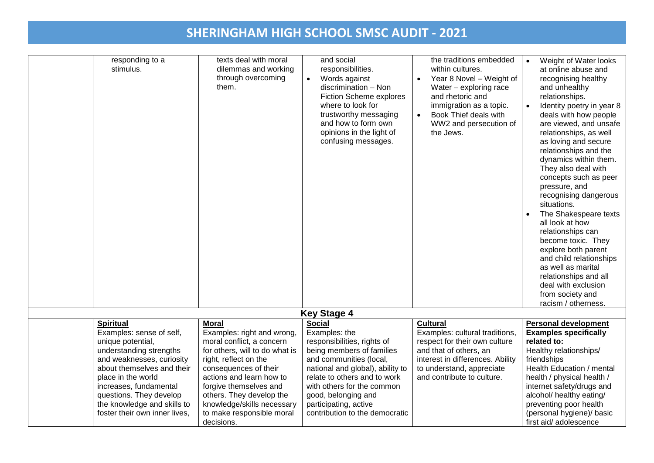| responding to a<br>stimulus.                           | texts deal with moral<br>dilemmas and working<br>through overcoming<br>them. | and social<br>responsibilities.<br>Words against<br>$\bullet$<br>discrimination - Non<br>Fiction Scheme explores<br>where to look for<br>trustworthy messaging<br>and how to form own<br>opinions in the light of<br>confusing messages. | the traditions embedded<br>within cultures.<br>Year 8 Novel - Weight of<br>$\bullet$<br>Water - exploring race<br>and rhetoric and<br>immigration as a topic.<br>Book Thief deals with<br>WW2 and persecution of<br>the Jews. | Weight of Water looks<br>$\bullet$<br>at online abuse and<br>recognising healthy<br>and unhealthy<br>relationships.<br>Identity poetry in year 8<br>$\bullet$<br>deals with how people<br>are viewed, and unsafe<br>relationships, as well<br>as loving and secure<br>relationships and the<br>dynamics within them.<br>They also deal with<br>concepts such as peer<br>pressure, and<br>recognising dangerous<br>situations.<br>The Shakespeare texts<br>all look at how<br>relationships can<br>become toxic. They<br>explore both parent<br>and child relationships<br>as well as marital<br>relationships and all<br>deal with exclusion<br>from society and<br>racism / otherness. |
|--------------------------------------------------------|------------------------------------------------------------------------------|------------------------------------------------------------------------------------------------------------------------------------------------------------------------------------------------------------------------------------------|-------------------------------------------------------------------------------------------------------------------------------------------------------------------------------------------------------------------------------|-----------------------------------------------------------------------------------------------------------------------------------------------------------------------------------------------------------------------------------------------------------------------------------------------------------------------------------------------------------------------------------------------------------------------------------------------------------------------------------------------------------------------------------------------------------------------------------------------------------------------------------------------------------------------------------------|
|                                                        |                                                                              | <b>Key Stage 4</b>                                                                                                                                                                                                                       |                                                                                                                                                                                                                               |                                                                                                                                                                                                                                                                                                                                                                                                                                                                                                                                                                                                                                                                                         |
| <b>Spiritual</b>                                       | <b>Moral</b>                                                                 | <b>Social</b>                                                                                                                                                                                                                            | <b>Cultural</b>                                                                                                                                                                                                               | <b>Personal development</b>                                                                                                                                                                                                                                                                                                                                                                                                                                                                                                                                                                                                                                                             |
| Examples: sense of self,                               | Examples: right and wrong,                                                   | Examples: the                                                                                                                                                                                                                            | Examples: cultural traditions,                                                                                                                                                                                                | <b>Examples specifically</b>                                                                                                                                                                                                                                                                                                                                                                                                                                                                                                                                                                                                                                                            |
| unique potential,                                      | moral conflict, a concern                                                    | responsibilities, rights of                                                                                                                                                                                                              | respect for their own culture                                                                                                                                                                                                 | related to:                                                                                                                                                                                                                                                                                                                                                                                                                                                                                                                                                                                                                                                                             |
| understanding strengths                                | for others, will to do what is                                               | being members of families                                                                                                                                                                                                                | and that of others, an                                                                                                                                                                                                        | Healthy relationships/                                                                                                                                                                                                                                                                                                                                                                                                                                                                                                                                                                                                                                                                  |
| and weaknesses, curiosity                              | right, reflect on the                                                        | and communities (local,                                                                                                                                                                                                                  | interest in differences. Ability                                                                                                                                                                                              | friendships                                                                                                                                                                                                                                                                                                                                                                                                                                                                                                                                                                                                                                                                             |
| about themselves and their                             | consequences of their                                                        | national and global), ability to<br>relate to others and to work                                                                                                                                                                         | to understand, appreciate<br>and contribute to culture.                                                                                                                                                                       | Health Education / mental                                                                                                                                                                                                                                                                                                                                                                                                                                                                                                                                                                                                                                                               |
| place in the world                                     | actions and learn how to                                                     |                                                                                                                                                                                                                                          |                                                                                                                                                                                                                               | health / physical health /                                                                                                                                                                                                                                                                                                                                                                                                                                                                                                                                                                                                                                                              |
| increases, fundamental                                 | forgive themselves and                                                       | with others for the common                                                                                                                                                                                                               |                                                                                                                                                                                                                               | internet safety/drugs and                                                                                                                                                                                                                                                                                                                                                                                                                                                                                                                                                                                                                                                               |
| questions. They develop<br>the knowledge and skills to | others. They develop the                                                     | good, belonging and                                                                                                                                                                                                                      |                                                                                                                                                                                                                               | alcohol/ healthy eating/                                                                                                                                                                                                                                                                                                                                                                                                                                                                                                                                                                                                                                                                |
|                                                        | knowledge/skills necessary                                                   | participating, active                                                                                                                                                                                                                    |                                                                                                                                                                                                                               | preventing poor health                                                                                                                                                                                                                                                                                                                                                                                                                                                                                                                                                                                                                                                                  |
| foster their own inner lives.                          | to make responsible moral<br>decisions.                                      | contribution to the democratic                                                                                                                                                                                                           |                                                                                                                                                                                                                               | (personal hygiene)/ basic<br>first aid/ adolescence                                                                                                                                                                                                                                                                                                                                                                                                                                                                                                                                                                                                                                     |
|                                                        |                                                                              |                                                                                                                                                                                                                                          |                                                                                                                                                                                                                               |                                                                                                                                                                                                                                                                                                                                                                                                                                                                                                                                                                                                                                                                                         |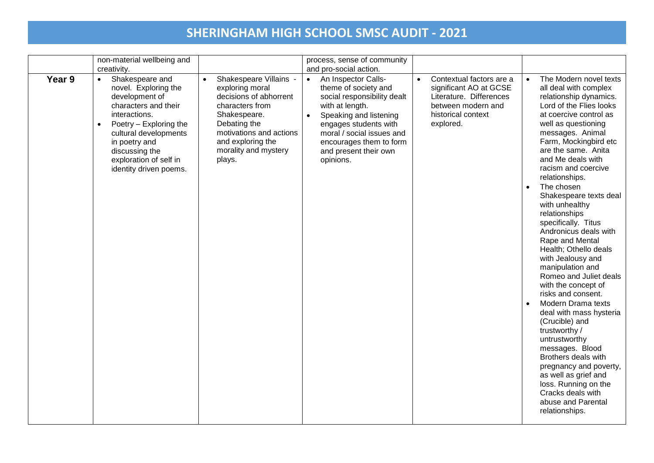|        | non-material wellbeing and<br>creativity.                                                                                                                                                                                                                              |                                                                                                                                                                                                                       | process, sense of community<br>and pro-social action.                                                                                                                                                                                                       |                                                                                                                                                     |                                                                                                                                                                                                                                                                                                                                                                                                                                                                                                                                                                                                                                                                                                                                                                                                                                                                                                             |
|--------|------------------------------------------------------------------------------------------------------------------------------------------------------------------------------------------------------------------------------------------------------------------------|-----------------------------------------------------------------------------------------------------------------------------------------------------------------------------------------------------------------------|-------------------------------------------------------------------------------------------------------------------------------------------------------------------------------------------------------------------------------------------------------------|-----------------------------------------------------------------------------------------------------------------------------------------------------|-------------------------------------------------------------------------------------------------------------------------------------------------------------------------------------------------------------------------------------------------------------------------------------------------------------------------------------------------------------------------------------------------------------------------------------------------------------------------------------------------------------------------------------------------------------------------------------------------------------------------------------------------------------------------------------------------------------------------------------------------------------------------------------------------------------------------------------------------------------------------------------------------------------|
| Year 9 | Shakespeare and<br>$\bullet$<br>novel. Exploring the<br>development of<br>characters and their<br>interactions.<br>Poetry - Exploring the<br>$\bullet$<br>cultural developments<br>in poetry and<br>discussing the<br>exploration of self in<br>identity driven poems. | Shakespeare Villains -<br>$\bullet$<br>exploring moral<br>decisions of abhorrent<br>characters from<br>Shakespeare.<br>Debating the<br>motivations and actions<br>and exploring the<br>morality and mystery<br>plays. | An Inspector Calls-<br>$\bullet$<br>theme of society and<br>social responsibility dealt<br>with at length.<br>Speaking and listening<br>engages students with<br>moral / social issues and<br>encourages them to form<br>and present their own<br>opinions. | Contextual factors are a<br>$\bullet$<br>significant AO at GCSE<br>Literature. Differences<br>between modern and<br>historical context<br>explored. | The Modern novel texts<br>$\bullet$<br>all deal with complex<br>relationship dynamics.<br>Lord of the Flies looks<br>at coercive control as<br>well as questioning<br>messages. Animal<br>Farm, Mockingbird etc<br>are the same. Anita<br>and Me deals with<br>racism and coercive<br>relationships.<br>The chosen<br>$\bullet$<br>Shakespeare texts deal<br>with unhealthy<br>relationships<br>specifically. Titus<br>Andronicus deals with<br>Rape and Mental<br>Health; Othello deals<br>with Jealousy and<br>manipulation and<br>Romeo and Juliet deals<br>with the concept of<br>risks and consent.<br>Modern Drama texts<br>$\bullet$<br>deal with mass hysteria<br>(Crucible) and<br>trustworthy /<br>untrustworthy<br>messages. Blood<br>Brothers deals with<br>pregnancy and poverty,<br>as well as grief and<br>loss. Running on the<br>Cracks deals with<br>abuse and Parental<br>relationships. |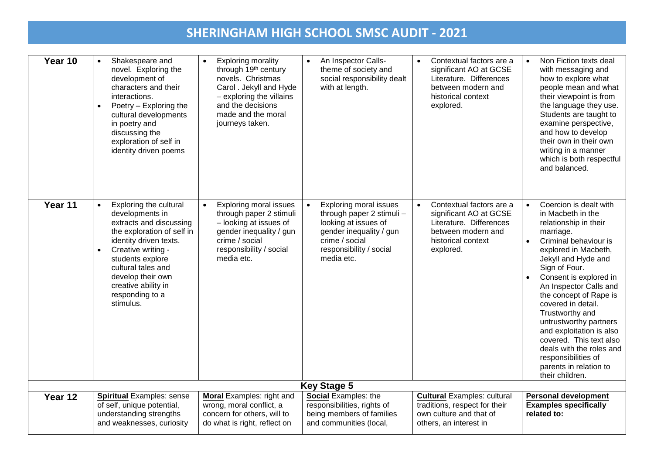| Year 10 | Shakespeare and<br>novel. Exploring the<br>development of<br>characters and their<br>interactions.<br>Poetry - Exploring the<br>$\bullet$<br>cultural developments<br>in poetry and<br>discussing the<br>exploration of self in<br>identity driven poems                              | <b>Exploring morality</b><br>$\bullet$<br>through 19 <sup>th</sup> century<br>novels. Christmas<br>Carol . Jekyll and Hyde<br>- exploring the villains<br>and the decisions<br>made and the moral<br>journeys taken. | An Inspector Calls-<br>$\bullet$<br>theme of society and<br>social responsibility dealt<br>with at length.                                                                            | Contextual factors are a<br>$\bullet$<br>significant AO at GCSE<br>Literature. Differences<br>between modern and<br>historical context<br>explored. | Non Fiction texts deal<br>$\bullet$<br>with messaging and<br>how to explore what<br>people mean and what<br>their viewpoint is from<br>the language they use.<br>Students are taught to<br>examine perspective,<br>and how to develop<br>their own in their own<br>writing in a manner<br>which is both respectful<br>and balanced.                                                                                                                                                                                       |  |
|---------|---------------------------------------------------------------------------------------------------------------------------------------------------------------------------------------------------------------------------------------------------------------------------------------|----------------------------------------------------------------------------------------------------------------------------------------------------------------------------------------------------------------------|---------------------------------------------------------------------------------------------------------------------------------------------------------------------------------------|-----------------------------------------------------------------------------------------------------------------------------------------------------|---------------------------------------------------------------------------------------------------------------------------------------------------------------------------------------------------------------------------------------------------------------------------------------------------------------------------------------------------------------------------------------------------------------------------------------------------------------------------------------------------------------------------|--|
| Year 11 | Exploring the cultural<br>developments in<br>extracts and discussing<br>the exploration of self in<br>identity driven texts.<br>Creative writing -<br>$\bullet$<br>students explore<br>cultural tales and<br>develop their own<br>creative ability in<br>responding to a<br>stimulus. | <b>Exploring moral issues</b><br>$\bullet$<br>through paper 2 stimuli<br>- looking at issues of<br>gender inequality / gun<br>crime / social<br>responsibility / social<br>media etc.                                | <b>Exploring moral issues</b><br>$\bullet$<br>through paper 2 stimuli -<br>looking at issues of<br>gender inequality / gun<br>crime / social<br>responsibility / social<br>media etc. | Contextual factors are a<br>significant AO at GCSE<br>Literature. Differences<br>between modern and<br>historical context<br>explored.              | Coercion is dealt with<br>$\bullet$<br>in Macbeth in the<br>relationship in their<br>marriage.<br>Criminal behaviour is<br>$\bullet$<br>explored in Macbeth,<br>Jekyll and Hyde and<br>Sign of Four.<br>Consent is explored in<br>$\bullet$<br>An Inspector Calls and<br>the concept of Rape is<br>covered in detail.<br>Trustworthy and<br>untrustworthy partners<br>and exploitation is also<br>covered. This text also<br>deals with the roles and<br>responsibilities of<br>parents in relation to<br>their children. |  |
|         | <b>Key Stage 5</b>                                                                                                                                                                                                                                                                    |                                                                                                                                                                                                                      |                                                                                                                                                                                       |                                                                                                                                                     |                                                                                                                                                                                                                                                                                                                                                                                                                                                                                                                           |  |
| Year 12 | <b>Spiritual Examples: sense</b><br>of self, unique potential,<br>understanding strengths<br>and weaknesses, curiosity                                                                                                                                                                | <b>Moral</b> Examples: right and<br>wrong, moral conflict, a<br>concern for others, will to<br>do what is right, reflect on                                                                                          | Social Examples: the<br>responsibilities, rights of<br>being members of families<br>and communities (local,                                                                           | <b>Cultural Examples: cultural</b><br>traditions, respect for their<br>own culture and that of<br>others, an interest in                            | <b>Personal development</b><br><b>Examples specifically</b><br>related to:                                                                                                                                                                                                                                                                                                                                                                                                                                                |  |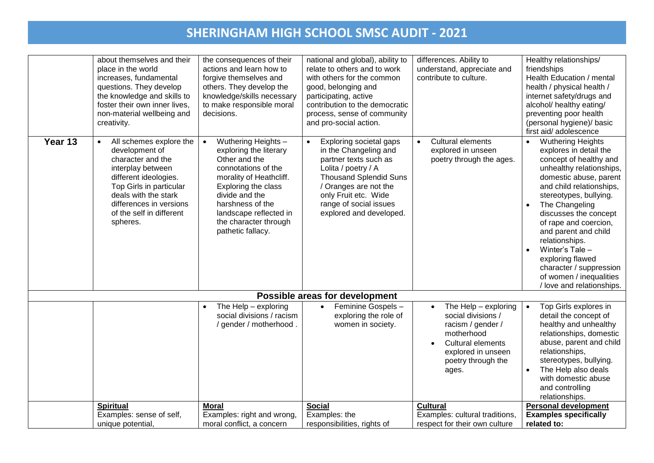|         | about themselves and their<br>place in the world<br>increases, fundamental<br>questions. They develop<br>the knowledge and skills to<br>foster their own inner lives,<br>non-material wellbeing and<br>creativity.                 | the consequences of their<br>actions and learn how to<br>forgive themselves and<br>others. They develop the<br>knowledge/skills necessary<br>to make responsible moral<br>decisions.                                                                               | national and global), ability to<br>relate to others and to work<br>with others for the common<br>good, belonging and<br>participating, active<br>contribution to the democratic<br>process, sense of community<br>and pro-social action. | differences. Ability to<br>understand, appreciate and<br>contribute to culture.                                                                         | Healthy relationships/<br>friendships<br>Health Education / mental<br>health / physical health /<br>internet safety/drugs and<br>alcohol/ healthy eating/<br>preventing poor health<br>(personal hygiene)/ basic<br>first aid/ adolescence                                                                                                                                                                                                                   |
|---------|------------------------------------------------------------------------------------------------------------------------------------------------------------------------------------------------------------------------------------|--------------------------------------------------------------------------------------------------------------------------------------------------------------------------------------------------------------------------------------------------------------------|-------------------------------------------------------------------------------------------------------------------------------------------------------------------------------------------------------------------------------------------|---------------------------------------------------------------------------------------------------------------------------------------------------------|--------------------------------------------------------------------------------------------------------------------------------------------------------------------------------------------------------------------------------------------------------------------------------------------------------------------------------------------------------------------------------------------------------------------------------------------------------------|
| Year 13 | All schemes explore the<br>development of<br>character and the<br>interplay between<br>different ideologies.<br>Top Girls in particular<br>deals with the stark<br>differences in versions<br>of the self in different<br>spheres. | Wuthering Heights -<br>$\bullet$<br>exploring the literary<br>Other and the<br>connotations of the<br>morality of Heathcliff.<br>Exploring the class<br>divide and the<br>harshness of the<br>landscape reflected in<br>the character through<br>pathetic fallacy. | Exploring societal gaps<br>in the Changeling and<br>partner texts such as<br>Lolita / poetry / A<br><b>Thousand Splendid Suns</b><br>/ Oranges are not the<br>only Fruit etc. Wide<br>range of social issues<br>explored and developed.   | <b>Cultural elements</b><br>$\bullet$<br>explored in unseen<br>poetry through the ages.                                                                 | <b>Wuthering Heights</b><br>explores in detail the<br>concept of healthy and<br>unhealthy relationships,<br>domestic abuse, parent<br>and child relationships,<br>stereotypes, bullying.<br>The Changeling<br>$\bullet$<br>discusses the concept<br>of rape and coercion,<br>and parent and child<br>relationships.<br>Winter's Tale $-$<br>$\bullet$<br>exploring flawed<br>character / suppression<br>of women / inequalities<br>/ love and relationships. |
|         |                                                                                                                                                                                                                                    |                                                                                                                                                                                                                                                                    | Possible areas for development                                                                                                                                                                                                            |                                                                                                                                                         |                                                                                                                                                                                                                                                                                                                                                                                                                                                              |
|         |                                                                                                                                                                                                                                    | The Help - exploring<br>social divisions / racism<br>/ gender / motherhood.                                                                                                                                                                                        | Feminine Gospels -<br>$\bullet$<br>exploring the role of<br>women in society.                                                                                                                                                             | The Help - exploring<br>social divisions /<br>racism / gender /<br>motherhood<br>Cultural elements<br>explored in unseen<br>poetry through the<br>ages. | Top Girls explores in<br>detail the concept of<br>healthy and unhealthy<br>relationships, domestic<br>abuse, parent and child<br>relationships,<br>stereotypes, bullying.<br>The Help also deals<br>with domestic abuse<br>and controlling<br>relationships.                                                                                                                                                                                                 |
|         | <b>Spiritual</b><br>Examples: sense of self,<br>unique potential,                                                                                                                                                                  | <b>Moral</b><br>Examples: right and wrong,<br>moral conflict, a concern                                                                                                                                                                                            | <b>Social</b><br>Examples: the<br>responsibilities, rights of                                                                                                                                                                             | <b>Cultural</b><br>Examples: cultural traditions,<br>respect for their own culture                                                                      | <b>Personal development</b><br><b>Examples specifically</b><br>related to:                                                                                                                                                                                                                                                                                                                                                                                   |